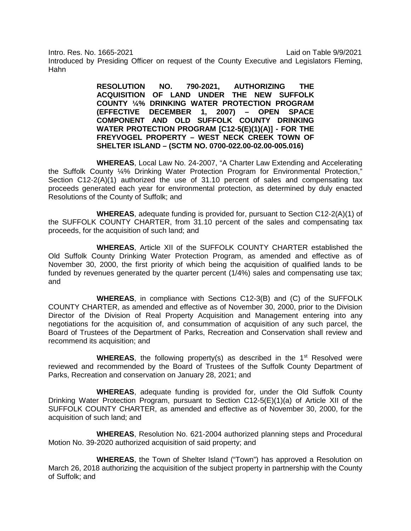Intro. Res. No. 1665-2021 Laid on Table 9/9/2021

Introduced by Presiding Officer on request of the County Executive and Legislators Fleming, Hahn

> **RESOLUTION NO. 790-2021, AUTHORIZING THE ACQUISITION OF LAND UNDER THE NEW SUFFOLK COUNTY ¼% DRINKING WATER PROTECTION PROGRAM (EFFECTIVE DECEMBER 1, 2007) – OPEN SPACE COMPONENT AND OLD SUFFOLK COUNTY DRINKING WATER PROTECTION PROGRAM [C12-5(E)(1)(A)] - FOR THE FREYVOGEL PROPERTY – WEST NECK CREEK TOWN OF SHELTER ISLAND – (SCTM NO. 0700-022.00-02.00-005.016)**

**WHEREAS**, Local Law No. 24-2007, "A Charter Law Extending and Accelerating the Suffolk County ¼% Drinking Water Protection Program for Environmental Protection," Section  $C12-2(A)(1)$  authorized the use of 31.10 percent of sales and compensating tax proceeds generated each year for environmental protection, as determined by duly enacted Resolutions of the County of Suffolk; and

**WHEREAS**, adequate funding is provided for, pursuant to Section C12-2(A)(1) of the SUFFOLK COUNTY CHARTER, from 31.10 percent of the sales and compensating tax proceeds, for the acquisition of such land; and

**WHEREAS**, Article XII of the SUFFOLK COUNTY CHARTER established the Old Suffolk County Drinking Water Protection Program, as amended and effective as of November 30, 2000, the first priority of which being the acquisition of qualified lands to be funded by revenues generated by the quarter percent (1/4%) sales and compensating use tax; and

**WHEREAS**, in compliance with Sections C12-3(B) and (C) of the SUFFOLK COUNTY CHARTER, as amended and effective as of November 30, 2000, prior to the Division Director of the Division of Real Property Acquisition and Management entering into any negotiations for the acquisition of, and consummation of acquisition of any such parcel, the Board of Trustees of the Department of Parks, Recreation and Conservation shall review and recommend its acquisition; and

**WHEREAS**, the following property(s) as described in the 1<sup>st</sup> Resolved were reviewed and recommended by the Board of Trustees of the Suffolk County Department of Parks, Recreation and conservation on January 28, 2021; and

**WHEREAS**, adequate funding is provided for, under the Old Suffolk County Drinking Water Protection Program, pursuant to Section C12-5(E)(1)(a) of Article XII of the SUFFOLK COUNTY CHARTER, as amended and effective as of November 30, 2000, for the acquisition of such land; and

**WHEREAS**, Resolution No. 621-2004 authorized planning steps and Procedural Motion No. 39-2020 authorized acquisition of said property; and

**WHEREAS**, the Town of Shelter Island ("Town") has approved a Resolution on March 26, 2018 authorizing the acquisition of the subject property in partnership with the County of Suffolk; and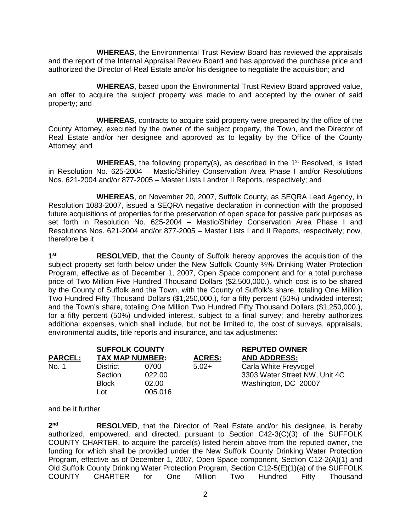**WHEREAS**, the Environmental Trust Review Board has reviewed the appraisals and the report of the Internal Appraisal Review Board and has approved the purchase price and authorized the Director of Real Estate and/or his designee to negotiate the acquisition; and

**WHEREAS**, based upon the Environmental Trust Review Board approved value, an offer to acquire the subject property was made to and accepted by the owner of said property; and

**WHEREAS**, contracts to acquire said property were prepared by the office of the County Attorney, executed by the owner of the subject property, the Town, and the Director of Real Estate and/or her designee and approved as to legality by the Office of the County Attorney; and

**WHEREAS**, the following property(s), as described in the 1<sup>st</sup> Resolved, is listed in Resolution No. 625-2004 – Mastic/Shirley Conservation Area Phase I and/or Resolutions Nos. 621-2004 and/or 877-2005 – Master Lists I and/or II Reports, respectively; and

**WHEREAS**, on November 20, 2007, Suffolk County, as SEQRA Lead Agency, in Resolution 1083-2007, issued a SEQRA negative declaration in connection with the proposed future acquisitions of properties for the preservation of open space for passive park purposes as set forth in Resolution No. 625-2004 – Mastic/Shirley Conservation Area Phase I and Resolutions Nos. 621-2004 and/or 877-2005 – Master Lists I and II Reports, respectively; now, therefore be it

**1st RESOLVED**, that the County of Suffolk hereby approves the acquisition of the subject property set forth below under the New Suffolk County ¼% Drinking Water Protection Program, effective as of December 1, 2007, Open Space component and for a total purchase price of Two Million Five Hundred Thousand Dollars (\$2,500,000.), which cost is to be shared by the County of Suffolk and the Town, with the County of Suffolk's share, totaling One Million Two Hundred Fifty Thousand Dollars (\$1,250,000.), for a fifty percent (50%) undivided interest; and the Town's share, totaling One Million Two Hundred Fifty Thousand Dollars (\$1,250,000.), for a fifty percent (50%) undivided interest, subject to a final survey; and hereby authorizes additional expenses, which shall include, but not be limited to, the cost of surveys, appraisals, environmental audits, title reports and insurance, and tax adjustments:

|                | <b>SUFFOLK COUNTY</b>  |         |               | <b>REPUTED OWNER</b>          |
|----------------|------------------------|---------|---------------|-------------------------------|
| <b>PARCEL:</b> | <b>TAX MAP NUMBER:</b> |         | <b>ACRES:</b> | <b>AND ADDRESS:</b>           |
| No. 1          | <b>District</b>        | 0700    | $5.02+$       | Carla White Freyvogel         |
|                | Section                | 022.00  |               | 3303 Water Street NW, Unit 4C |
|                | <b>Block</b>           | 02.00   |               | Washington, DC 20007          |
|                | Lot                    | 005.016 |               |                               |

## and be it further

2<sup>nd</sup> RESOLVED, that the Director of Real Estate and/or his designee, is hereby authorized, empowered, and directed, pursuant to Section C42-3(C)(3) of the SUFFOLK COUNTY CHARTER, to acquire the parcel(s) listed herein above from the reputed owner, the funding for which shall be provided under the New Suffolk County Drinking Water Protection Program, effective as of December 1, 2007, Open Space component, Section C12-2(A)(1) and Old Suffolk County Drinking Water Protection Program, Section C12-5(E)(1)(a) of the SUFFOLK COUNTY CHARTER for One Million Two Hundred Fifty Thousand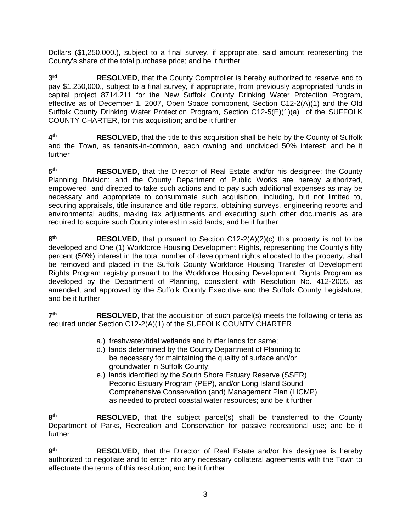Dollars (\$1,250,000.), subject to a final survey, if appropriate, said amount representing the County's share of the total purchase price; and be it further

**3rd RESOLVED**, that the County Comptroller is hereby authorized to reserve and to pay \$1,250,000., subject to a final survey, if appropriate, from previously appropriated funds in capital project 8714.211 for the New Suffolk County Drinking Water Protection Program, effective as of December 1, 2007, Open Space component, Section C12-2(A)(1) and the Old Suffolk County Drinking Water Protection Program, Section C12-5(E)(1)(a) of the SUFFOLK COUNTY CHARTER, for this acquisition; and be it further

**4th RESOLVED**, that the title to this acquisition shall be held by the County of Suffolk and the Town, as tenants-in-common, each owning and undivided 50% interest; and be it further

**5th RESOLVED**, that the Director of Real Estate and/or his designee; the County Planning Division; and the County Department of Public Works are hereby authorized, empowered, and directed to take such actions and to pay such additional expenses as may be necessary and appropriate to consummate such acquisition, including, but not limited to, securing appraisals, title insurance and title reports, obtaining surveys, engineering reports and environmental audits, making tax adjustments and executing such other documents as are required to acquire such County interest in said lands; and be it further

**6th RESOLVED**, that pursuant to Section C12-2(A)(2)(c) this property is not to be developed and One (1) Workforce Housing Development Rights, representing the County's fifty percent (50%) interest in the total number of development rights allocated to the property, shall be removed and placed in the Suffolk County Workforce Housing Transfer of Development Rights Program registry pursuant to the Workforce Housing Development Rights Program as developed by the Department of Planning, consistent with Resolution No. 412-2005, as amended, and approved by the Suffolk County Executive and the Suffolk County Legislature; and be it further

**7th RESOLVED**, that the acquisition of such parcel(s) meets the following criteria as required under Section C12-2(A)(1) of the SUFFOLK COUNTY CHARTER

- a.) freshwater/tidal wetlands and buffer lands for same;
- d.) lands determined by the County Department of Planning to be necessary for maintaining the quality of surface and/or groundwater in Suffolk County;
- e.) lands identified by the South Shore Estuary Reserve (SSER), Peconic Estuary Program (PEP), and/or Long Island Sound Comprehensive Conservation (and) Management Plan (LICMP) as needed to protect coastal water resources; and be it further

8<sup>th</sup> RESOLVED, that the subject parcel(s) shall be transferred to the County Department of Parks, Recreation and Conservation for passive recreational use; and be it further

**9th RESOLVED**, that the Director of Real Estate and/or his designee is hereby authorized to negotiate and to enter into any necessary collateral agreements with the Town to effectuate the terms of this resolution; and be it further